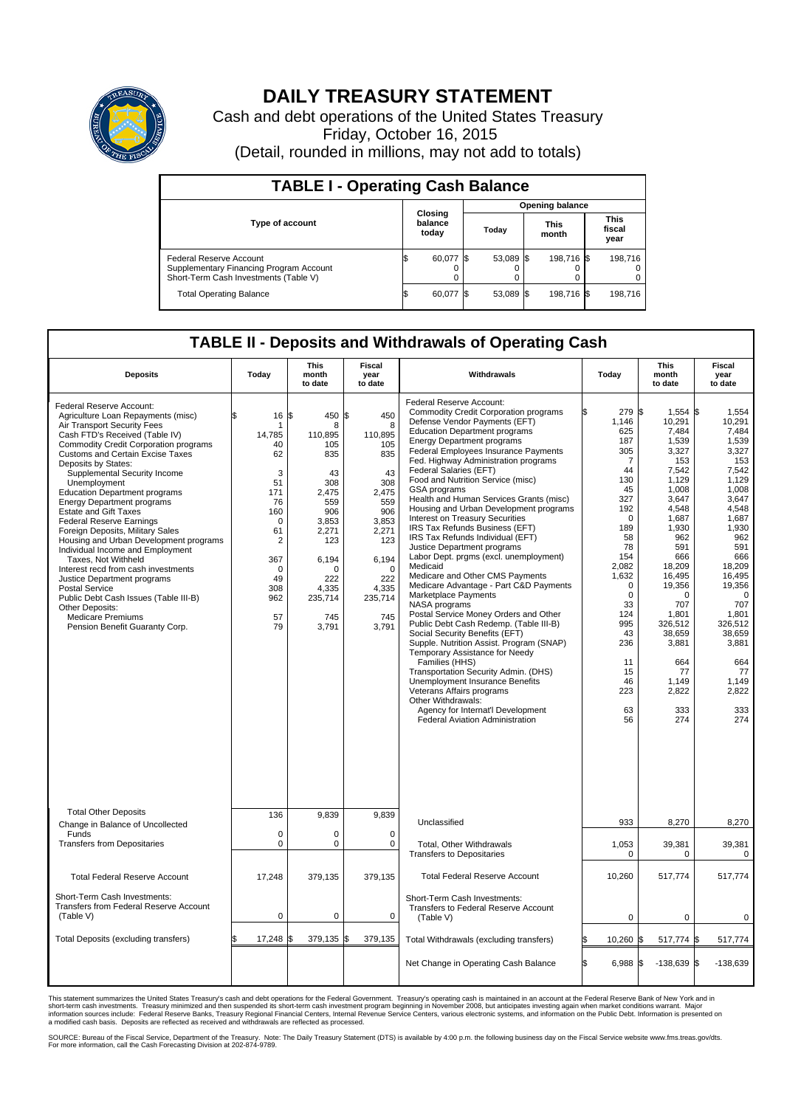

## **DAILY TREASURY STATEMENT**

Cash and debt operations of the United States Treasury Friday, October 16, 2015 (Detail, rounded in millions, may not add to totals)

| <b>TABLE I - Operating Cash Balance</b>                                                                     |                                    |           |       |                        |                      |            |                               |         |  |  |  |
|-------------------------------------------------------------------------------------------------------------|------------------------------------|-----------|-------|------------------------|----------------------|------------|-------------------------------|---------|--|--|--|
|                                                                                                             |                                    |           |       | <b>Opening balance</b> |                      |            |                               |         |  |  |  |
| <b>Type of account</b>                                                                                      | <b>Closing</b><br>balance<br>today |           | Today |                        | <b>This</b><br>month |            | <b>This</b><br>fiscal<br>year |         |  |  |  |
| Federal Reserve Account<br>Supplementary Financing Program Account<br>Short-Term Cash Investments (Table V) |                                    | 60,077    |       | 53,089 \$              |                      | 198,716 \$ |                               | 198.716 |  |  |  |
| <b>Total Operating Balance</b>                                                                              | S.                                 | 60,077 \$ |       | 53,089 \$              |                      | 198,716 \$ |                               | 198,716 |  |  |  |

## **TABLE II - Deposits and Withdrawals of Operating Cash**

| <b>Deposits</b>                                                                                                                                                                                                                                                                                                                                                                                                                                                                                                                                                                                                                                                                                                                                                                                                     | Today                                                                                                                                                        | This<br>month<br>to date                                                                                                                                         | <b>Fiscal</b><br>year<br>to date                                                                                                                               | Withdrawals                                                                                                                                                                                                                                                                                                                                                                                                                                                                                                                                                                                                                                                                                                                                                                                                                                                                                                                                                                                                                                                                                                                                                                                             | Today                                                                                                                                                                                                                                        | <b>This</b><br>month<br>to date                                                                                                                                                                                                                                                 | Fiscal<br>year<br>to date                                                                                                                                                                                                                                                  |
|---------------------------------------------------------------------------------------------------------------------------------------------------------------------------------------------------------------------------------------------------------------------------------------------------------------------------------------------------------------------------------------------------------------------------------------------------------------------------------------------------------------------------------------------------------------------------------------------------------------------------------------------------------------------------------------------------------------------------------------------------------------------------------------------------------------------|--------------------------------------------------------------------------------------------------------------------------------------------------------------|------------------------------------------------------------------------------------------------------------------------------------------------------------------|----------------------------------------------------------------------------------------------------------------------------------------------------------------|---------------------------------------------------------------------------------------------------------------------------------------------------------------------------------------------------------------------------------------------------------------------------------------------------------------------------------------------------------------------------------------------------------------------------------------------------------------------------------------------------------------------------------------------------------------------------------------------------------------------------------------------------------------------------------------------------------------------------------------------------------------------------------------------------------------------------------------------------------------------------------------------------------------------------------------------------------------------------------------------------------------------------------------------------------------------------------------------------------------------------------------------------------------------------------------------------------|----------------------------------------------------------------------------------------------------------------------------------------------------------------------------------------------------------------------------------------------|---------------------------------------------------------------------------------------------------------------------------------------------------------------------------------------------------------------------------------------------------------------------------------|----------------------------------------------------------------------------------------------------------------------------------------------------------------------------------------------------------------------------------------------------------------------------|
| Federal Reserve Account:<br>Agriculture Loan Repayments (misc)<br>Air Transport Security Fees<br>Cash FTD's Received (Table IV)<br><b>Commodity Credit Corporation programs</b><br><b>Customs and Certain Excise Taxes</b><br>Deposits by States:<br>Supplemental Security Income<br>Unemployment<br><b>Education Department programs</b><br><b>Energy Department programs</b><br><b>Estate and Gift Taxes</b><br><b>Federal Reserve Earnings</b><br>Foreign Deposits, Military Sales<br>Housing and Urban Development programs<br>Individual Income and Employment<br>Taxes. Not Withheld<br>Interest recd from cash investments<br>Justice Department programs<br><b>Postal Service</b><br>Public Debt Cash Issues (Table III-B)<br>Other Deposits:<br><b>Medicare Premiums</b><br>Pension Benefit Guaranty Corp. | \$<br>16<br>1<br>14,785<br>40<br>62<br>3<br>51<br>171<br>76<br>160<br>$\mathbf 0$<br>61<br>$\overline{2}$<br>367<br>$\Omega$<br>49<br>308<br>962<br>57<br>79 | ß.<br>450 \$<br>8<br>110,895<br>105<br>835<br>43<br>308<br>2,475<br>559<br>906<br>3,853<br>2,271<br>123<br>6,194<br>O<br>222<br>4.335<br>235,714<br>745<br>3,791 | 450<br>8<br>110,895<br>105<br>835<br>43<br>308<br>2,475<br>559<br>906<br>3,853<br>2,271<br>123<br>6,194<br>$\Omega$<br>222<br>4,335<br>235,714<br>745<br>3,791 | Federal Reserve Account:<br><b>Commodity Credit Corporation programs</b><br>Defense Vendor Payments (EFT)<br><b>Education Department programs</b><br><b>Energy Department programs</b><br><b>Federal Employees Insurance Payments</b><br>Fed. Highway Administration programs<br>Federal Salaries (EFT)<br>Food and Nutrition Service (misc)<br>GSA programs<br>Health and Human Services Grants (misc)<br>Housing and Urban Development programs<br>Interest on Treasury Securities<br>IRS Tax Refunds Business (EFT)<br>IRS Tax Refunds Individual (EFT)<br>Justice Department programs<br>Labor Dept. prgms (excl. unemployment)<br>Medicaid<br>Medicare and Other CMS Payments<br>Medicare Advantage - Part C&D Payments<br>Marketplace Payments<br>NASA programs<br>Postal Service Money Orders and Other<br>Public Debt Cash Redemp. (Table III-B)<br>Social Security Benefits (EFT)<br>Supple. Nutrition Assist. Program (SNAP)<br>Temporary Assistance for Needy<br>Families (HHS)<br>Transportation Security Admin. (DHS)<br>Unemployment Insurance Benefits<br>Veterans Affairs programs<br>Other Withdrawals:<br>Agency for Internat'l Development<br><b>Federal Aviation Administration</b> | 279 \$<br>1,146<br>625<br>187<br>305<br>$\overline{7}$<br>44<br>130<br>45<br>327<br>192<br>$\mathbf 0$<br>189<br>58<br>78<br>154<br>2,082<br>1,632<br>0<br>$\mathbf 0$<br>33<br>124<br>995<br>43<br>236<br>11<br>15<br>46<br>223<br>63<br>56 | $1,554$ \$<br>10,291<br>7.484<br>1,539<br>3,327<br>153<br>7.542<br>1,129<br>1.008<br>3,647<br>4,548<br>1,687<br>1,930<br>962<br>591<br>666<br>18,209<br>16.495<br>19,356<br>$\Omega$<br>707<br>1,801<br>326,512<br>38,659<br>3,881<br>664<br>77<br>1,149<br>2,822<br>333<br>274 | 1,554<br>10.291<br>7.484<br>1,539<br>3,327<br>153<br>7,542<br>1,129<br>1,008<br>3,647<br>4,548<br>1,687<br>1,930<br>962<br>591<br>666<br>18,209<br>16.495<br>19,356<br>$\Omega$<br>707<br>1,801<br>326.512<br>38,659<br>3,881<br>664<br>77<br>1,149<br>2.822<br>333<br>274 |
| <b>Total Other Deposits</b><br>Change in Balance of Uncollected                                                                                                                                                                                                                                                                                                                                                                                                                                                                                                                                                                                                                                                                                                                                                     | 136                                                                                                                                                          | 9,839                                                                                                                                                            | 9,839                                                                                                                                                          | Unclassified                                                                                                                                                                                                                                                                                                                                                                                                                                                                                                                                                                                                                                                                                                                                                                                                                                                                                                                                                                                                                                                                                                                                                                                            | 933                                                                                                                                                                                                                                          | 8,270                                                                                                                                                                                                                                                                           | 8,270                                                                                                                                                                                                                                                                      |
| Funds<br><b>Transfers from Depositaries</b>                                                                                                                                                                                                                                                                                                                                                                                                                                                                                                                                                                                                                                                                                                                                                                         | $\mathbf 0$<br>0                                                                                                                                             | 0<br>0                                                                                                                                                           | $\mathbf 0$<br>0                                                                                                                                               | Total, Other Withdrawals<br><b>Transfers to Depositaries</b>                                                                                                                                                                                                                                                                                                                                                                                                                                                                                                                                                                                                                                                                                                                                                                                                                                                                                                                                                                                                                                                                                                                                            | 1,053<br>$\mathbf 0$                                                                                                                                                                                                                         | 39,381<br>0                                                                                                                                                                                                                                                                     | 39,381<br>$\mathbf 0$                                                                                                                                                                                                                                                      |
| <b>Total Federal Reserve Account</b>                                                                                                                                                                                                                                                                                                                                                                                                                                                                                                                                                                                                                                                                                                                                                                                | 17,248                                                                                                                                                       | 379,135                                                                                                                                                          | 379,135                                                                                                                                                        | <b>Total Federal Reserve Account</b>                                                                                                                                                                                                                                                                                                                                                                                                                                                                                                                                                                                                                                                                                                                                                                                                                                                                                                                                                                                                                                                                                                                                                                    | 10,260                                                                                                                                                                                                                                       | 517,774                                                                                                                                                                                                                                                                         | 517,774                                                                                                                                                                                                                                                                    |
| Short-Term Cash Investments:<br>Transfers from Federal Reserve Account<br>(Table V)                                                                                                                                                                                                                                                                                                                                                                                                                                                                                                                                                                                                                                                                                                                                 | $\pmb{0}$                                                                                                                                                    | 0                                                                                                                                                                | $\mathbf 0$                                                                                                                                                    | Short-Term Cash Investments:<br>Transfers to Federal Reserve Account<br>(Table V)                                                                                                                                                                                                                                                                                                                                                                                                                                                                                                                                                                                                                                                                                                                                                                                                                                                                                                                                                                                                                                                                                                                       | $\mathbf 0$                                                                                                                                                                                                                                  | 0                                                                                                                                                                                                                                                                               | $\mathbf 0$                                                                                                                                                                                                                                                                |
| Total Deposits (excluding transfers)                                                                                                                                                                                                                                                                                                                                                                                                                                                                                                                                                                                                                                                                                                                                                                                | 17,248                                                                                                                                                       | 379,135 \$                                                                                                                                                       | 379,135                                                                                                                                                        | Total Withdrawals (excluding transfers)                                                                                                                                                                                                                                                                                                                                                                                                                                                                                                                                                                                                                                                                                                                                                                                                                                                                                                                                                                                                                                                                                                                                                                 | 10,260 \$                                                                                                                                                                                                                                    | 517,774 \$                                                                                                                                                                                                                                                                      | 517,774                                                                                                                                                                                                                                                                    |
|                                                                                                                                                                                                                                                                                                                                                                                                                                                                                                                                                                                                                                                                                                                                                                                                                     |                                                                                                                                                              |                                                                                                                                                                  |                                                                                                                                                                | Net Change in Operating Cash Balance                                                                                                                                                                                                                                                                                                                                                                                                                                                                                                                                                                                                                                                                                                                                                                                                                                                                                                                                                                                                                                                                                                                                                                    | Ŝ.<br>$6,988$ \$                                                                                                                                                                                                                             | $-138,639$ \$                                                                                                                                                                                                                                                                   | $-138,639$                                                                                                                                                                                                                                                                 |

This statement summarizes the United States Treasury's cash and debt operations for the Federal Government. Treasury's operating cash is maintained in an account at the Federal Reserve Bank of New York and in<br>short-term ca

SOURCE: Bureau of the Fiscal Service, Department of the Treasury. Note: The Daily Treasury Statement (DTS) is available by 4:00 p.m. the following business day on the Fiscal Service website www.fms.treas.gov/dts.<br>For more